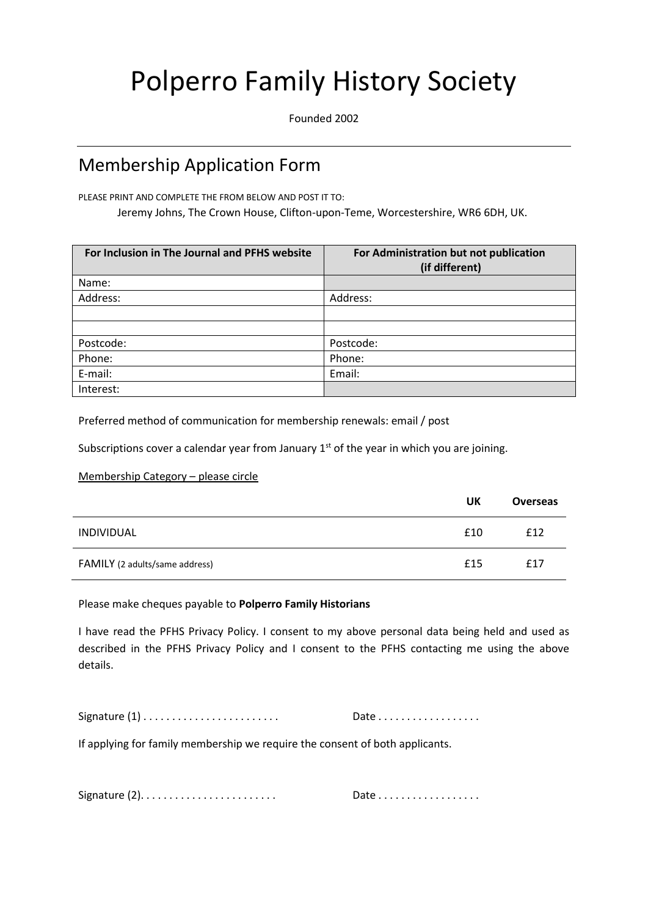## Polperro Family History Society

Founded 2002

## Membership Application Form

PLEASE PRINT AND COMPLETE THE FROM BELOW AND POST IT TO:

Jeremy Johns, The Crown House, Clifton-upon-Teme, Worcestershire, WR6 6DH, UK.

| For Inclusion in The Journal and PFHS website | For Administration but not publication<br>(if different) |
|-----------------------------------------------|----------------------------------------------------------|
| Name:                                         |                                                          |
| Address:                                      | Address:                                                 |
|                                               |                                                          |
|                                               |                                                          |
| Postcode:                                     | Postcode:                                                |
| Phone:                                        | Phone:                                                   |
| E-mail:                                       | Email:                                                   |
| Interest:                                     |                                                          |

Preferred method of communication for membership renewals: email / post

Subscriptions cover a calendar year from January  $1<sup>st</sup>$  of the year in which you are joining.

Membership Category – please circle

|                                | UK  | <b>Overseas</b> |
|--------------------------------|-----|-----------------|
| INDIVIDUAL                     | £10 | £12             |
| FAMILY (2 adults/same address) | £15 | £17             |

Please make cheques payable to **Polperro Family Historians**

I have read the PFHS Privacy Policy. I consent to my above personal data being held and used as described in the PFHS Privacy Policy and I consent to the PFHS contacting me using the above details.

Signature (1) . . . . . . . . . . . . . . . . . . . . . . . . Date . . . . . . . . . . . . . . . . . .

If applying for family membership we require the consent of both applicants.

Signature (2). . . . . . . . . . . . . . . . . . . . . . . . Date . . . . . . . . . . . . . . . . . .